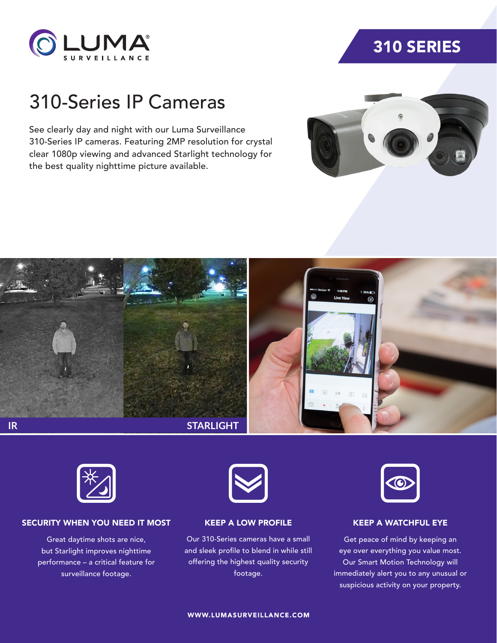

## 310 SERIES

# 310-Series IP Cameras

See clearly day and night with our Luma Surveillance 310-Series IP cameras. Featuring 2MP resolution for crystal clear 1080p viewing and advanced Starlight technology for the best quality nighttime picture available.







#### SECURITY WHEN YOU NEED IT MOST

Great daytime shots are nice, but Starlight improves nighttime performance – a critical feature for surveillance footage.



KEEP A LOW PROFILE

Our 310-Series cameras have a small and sleek profile to blend in while still offering the highest quality security footage.



### KEEP A WATCHFUL EYE

Get peace of mind by keeping an eye over everything you value most. Our Smart Motion Technology will immediately alert you to any unusual or suspicious activity on your property.